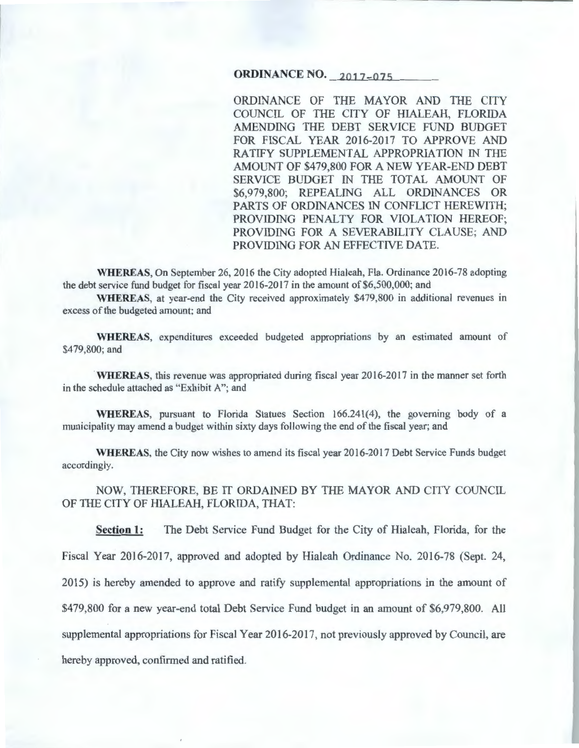# **ORDINANCE NO.** 2017-075

ORDINANCE OF THE MAYOR AND THE CITY COUNCIL OF THE CITY OF HIALEAH, FLORIDA AMENDING THE DEBT SERVICE FUND BUDGET FOR FISCAL YEAR 2016-2017 TO APPROVE AND RATIFY SUPPLEMENTAL APPROPRIATION IN THE AMOUNT OF \$479,800 FOR A NEW YEAR-END DEBT SERVICE BUDGET IN THE TOTAL AMOUNT OF \$6,979,800; REPEALING ALL ORDINANCES OR PARTS OF ORDINANCES IN CONFLICT HEREWITH; PROVIDING PENALTY FOR VIOLATION HEREOF; PROVIDING FOR A SEVERABILITY CLAUSE; AND PROVIDING FOR AN EFFECTIVE DATE.

WHEREAS, On September 26, 2016 the City adopted Hialeah, Fla. Ordinance 2016-78 adopting the debt service fund budget for fiscal year 2016-2017 in the amount of \$6,500,000; and

WHEREAS, at year-end the City received approximately \$479,800 in additional revenues in excess of the budgeted amount; and

WHEREAS, expenditures exceeded budgeted appropriations by an estimated amount of \$479,800; and

WHEREAS, this revenue was appropriated during fiscal year 2016-2017 in the manner set forth in the schedule attached as "Exhibit A"; and

WHEREAS, pursuant to Florida Statues Section 166.241(4), the governing body of a municipality may amend a budget within sixty days following the end of the fiscal year; and

WHEREAS, the City now wishes to amend its fiscal year 2016-2017 Debt Service Funds budget accordingly.

NOW, THEREFORE, BE IT ORDAINED BY THE MAYOR AND CITY COUNCIL OF THE CITY OF HIALEAH, FLORIDA, THAT:

Section 1: The Debt Service Fund Budget for the City of Hialeah, Florida, for the Fiscal Year 2016-2017, approved and adopted by Hialeah Ordinance No. 2016-78 (Sept. 24, 2015) is hereby amended to approve and ratify supplemental appropriations in the amount of \$479,800 for a new year-end total Debt Service Fund budget in an amount of \$6,979,800. All supplemental appropriations for Fiscal Year 2016-2017, not previously approved by Council, are hereby approved, confirmed and ratified.